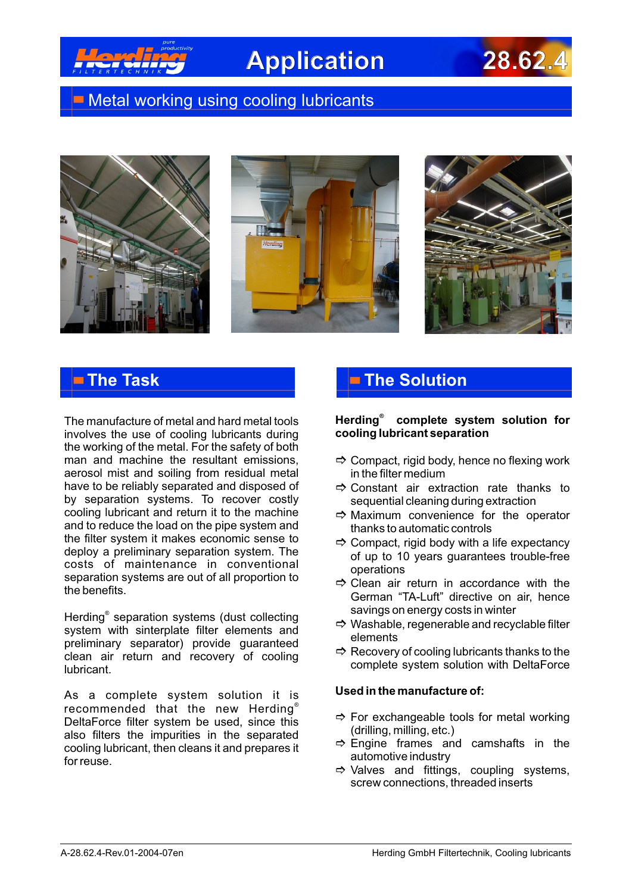

# **Application 28.62.4**

## **Metal working using cooling lubricants**







The manufacture of metal and hard metal tools involves the use of cooling lubricants during the working of the metal. For the safety of both man and machine the resultant emissions, aerosol mist and soiling from residual metal have to be reliably separated and disposed of by separation systems. To recover costly cooling lubricant and return it to the machine and to reduce the load on the pipe system and the filter system it makes economic sense to deploy a preliminary separation system. The costs of maintenance in conventional separation systems are out of all proportion to the benefits.

Herding<sup>®</sup> separation systems (dust collecting system with sinterplate filter elements and preliminary separator) provide guaranteed clean air return and recovery of cooling lubricant.

As a complete system solution it is recommended that the new Herding $^\circ$ DeltaForce filter system be used, since this also filters the impurities in the separated cooling lubricant, then cleans it and prepares it for reuse.

## **The Task The Solution**

### *®* **Herding complete system solution for cooling lubricant separation**

- $\Rightarrow$  Compact, rigid body, hence no flexing work in the filter medium
- $\Rightarrow$  Constant air extraction rate thanks to sequential cleaning during extraction
- $\Rightarrow$  Maximum convenience for the operator thanks to automatic controls
- $\Rightarrow$  Compact, rigid body with a life expectancy of up to 10 years guarantees trouble-free operations
- $\Rightarrow$  Clean air return in accordance with the German "TA-Luft" directive on air, hence savings on energy costs in winter
- $\Rightarrow$  Washable, regenerable and recyclable filter elements
- $\Rightarrow$  Recovery of cooling lubricants thanks to the complete system solution with DeltaForce

### **Used in the manufacture of:**

- $\Rightarrow$  For exchangeable tools for metal working (drilling, milling, etc.)
- $\Rightarrow$  Engine frames and camshafts in the automotive industry
- $\Rightarrow$  Valves and fittings, coupling systems, screw connections, threaded inserts